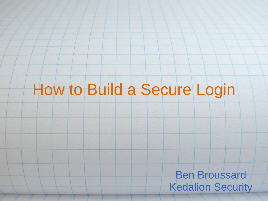## How to Build a Secure Login

Ben Broussard Kedalion Security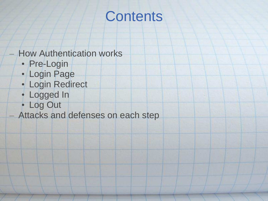## **Contents**

#### – How Authentication works

- Pre-Login
- Login Page
- Login Redirect
- Logged In
- Log Out
- Attacks and defenses on each step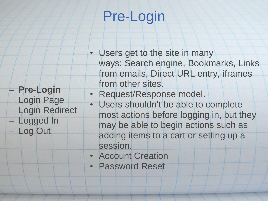## Pre-Login

- Users get to the site in many ways: Search engine, Bookmarks, Links from emails, Direct URL entry, iframes from other sites.
- Request/Response model.
- Users shouldn't be able to complete most actions before logging in, but they may be able to begin actions such as adding items to a cart or setting up a session.
- Account Creation

– **Pre-Login**

– Login Page

– Logged In

– Log Out

– Login Redirect

• Password Reset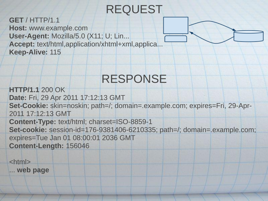### REQUEST

**GET** / HTTP/1.1 **Host:** www.example.com **User-Agent:** Mozilla/5.0 (X11; U; Lin... **Accept:** text/html,application/xhtml+xml,applica... **Keep-Alive:** 115

### RESPONSE

**HTTP/1.1** 200 OK **Date:** Fri, 29 Apr 2011 17:12:13 GMT **Set-Cookie:** skin=noskin; path=/; domain=.example.com; expires=Fri, 29-Apr-2011 17:12:13 GMT **Content-Type:** text/html; charset=ISO-8859-1 **Set-cookie:** session-id=176-9381406-6210335; path=/; domain=.example.com; expires=Tue Jan 01 08:00:01 2036 GMT **Content-Length:** 156046

<html>

... **web page**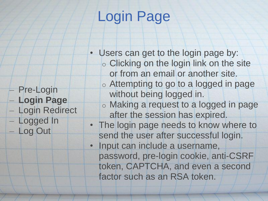## Login Page

- Pre-Login – **Login Page** – Login Redirect – Logged In – Log Out
- Users can get to the login page by: o Clicking on the login link on the site or from an email or another site. o Attempting to go to a logged in page without being logged in. o Making a request to a logged in page after the session has expired. • The login page needs to know where to send the user after successful login. • Input can include a username, password, pre-login cookie, anti-CSRF token, CAPTCHA, and even a second factor such as an RSA token.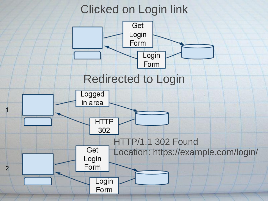### Clicked on Login link

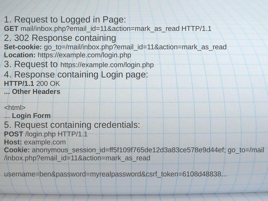- 1. Request to Logged in Page:
- **GET** mail/inbox.php?email\_id=11&action=mark\_as\_read HTTP/1.1
- 2. 302 Response containing
- **Set-cookie:** go\_to=/mail/inbox.php?email\_id=11&action=mark\_as\_read **Location:** https://example.com/login.php
- 3. Request to https://example.com/login.php
- 4. Response containing Login page: **HTTP/1.1** 200 OK
- **... Other Headers**

<html>

- ... **Login Form**
- 5. Request containing credentials:
- **POST** /login.php HTTP/1.1
- **Host:** example.com
- **Cookie:** anonymous\_session\_id=ff5f109f765de12d3a83ce578e9d44ef; go\_to=/mail /inbox.php?email\_id=11&action=mark\_as\_read

username=ben&password=myrealpassword&csrf\_token=6108d48838...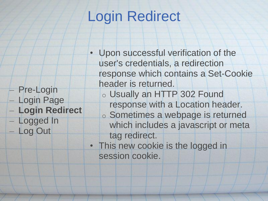## Login Redirect

- Upon successful verification of the user's credentials, a redirection response which contains a Set-Cookie header is returned.
	- o Usually an HTTP 302 Found response with a Location header. o Sometimes a webpage is returned which includes a javascript or meta tag redirect.
	- This new cookie is the logged in session cookie.
- Pre-Login – Login Page
- **Login Redirect**
- Logged In
	- Log Out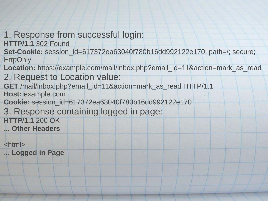#### 1. Response from successful login:

**HTTP/1.1** 302 Found

**Set-Cookie:** session\_id=617372ea63040f780b16dd992122e170; path=/; secure; **HttpOnly** 

**Location:** https://example.com/mail/inbox.php?email\_id=11&action=mark\_as\_read 2. Request to Location value:

**GET** /mail/inbox.php?email\_id=11&action=mark\_as\_read HTTP/1.1 **Host:** example.com

**Cookie:** session\_id=617372ea63040f780b16dd992122e170

3. Response containing logged in page:

**HTTP/1.1** 200 OK **... Other Headers**

<html>

... **Logged in Page**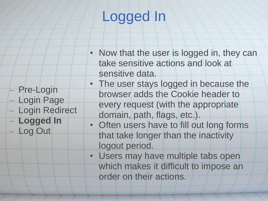## Logged In

– Pre-Login

– Login Page

– **Logged In**

– Log Out

– Login Redirect

- Now that the user is logged in, they can take sensitive actions and look at sensitive data.
- The user stays logged in because the browser adds the Cookie header to every request (with the appropriate domain, path, flags, etc.).
- Often users have to fill out long forms that take longer than the inactivity logout period.
- Users may have multiple tabs open which makes it difficult to impose an order on their actions.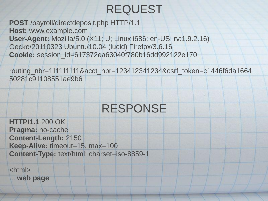### REQUEST

**POST** /payroll/directdeposit.php HTTP/1.1 **Host:** www.example.com **User-Agent:** Mozilla/5.0 (X11; U; Linux i686; en-US; rv:1.9.2.16) Gecko/20110323 Ubuntu/10.04 (lucid) Firefox/3.6.16 **Cookie:** session\_id=617372ea63040f780b16dd992122e170

routing\_nbr=111111111&acct\_nbr=123412341234&csrf\_token=c1446f6da1664 50281c91108551ae9b6

### RESPONSE

**HTTP/1.1** 200 OK **Pragma:** no-cache **Content-Length:** 2150 **Keep-Alive:** timeout=15, max=100 **Content-Type:** text/html; charset=iso-8859-1

<html> ... **web page**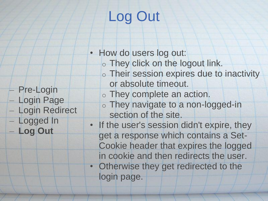# Log Out

- How do users log out:
	- o They click on the logout link.
	- o Their session expires due to inactivity or absolute timeout.
	- o They complete an action.
	- o They navigate to a non-logged-in section of the site.
- If the user's session didn't expire, they get a response which contains a Set-Cookie header that expires the logged in cookie and then redirects the user. • Otherwise they get redirected to the login page.
- Pre-Login
- Login Page
- Login Redirect
- Logged In
- **Log Out**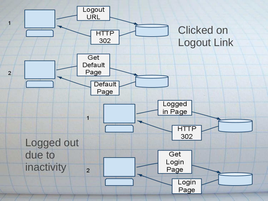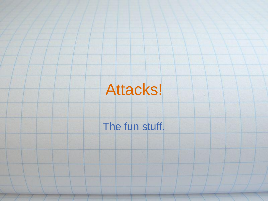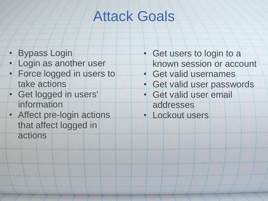## Attack Goals

- Bypass Login
- Login as another user
- Force logged in users to take actions
- Get logged in users' information
- Affect pre-login actions that affect logged in actions
- **Get users to login to a** known session or account
- Get valid usernames
- Get valid user passwords
- Get valid user email addresses
- Lockout users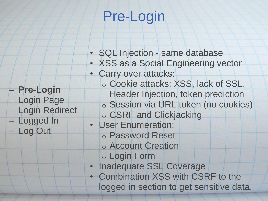## Pre-Login

- SQL Injection same database
- XSS as a Social Engineering vector
- Carry over attacks:
	- o Cookie attacks: XSS, lack of SSL, Header Injection, token prediction o Session via URL token (no cookies)
	- o CSRF and Clickjacking
- User Enumeration: o Password Reset
	- o Account Creation
	- o Login Form
- Inadequate SSL Coverage
- Combination XSS with CSRF to the logged in section to get sensitive data.
- **Pre-Login** – Login Page
- Login Redirect
- Logged In
- Log Out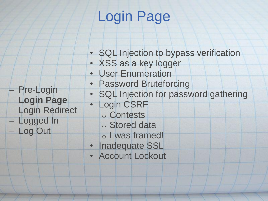## Login Page

- SQL Injection to bypass verification
- XSS as a key logger
- User Enumeration
- Password Bruteforcing
- SQL Injection for password gathering
- Login CSRF

– Pre-Login

– Logged In

– Log Out

– **Login Page**

– Login Redirect

- o Contests
- o Stored data
- o I was framed!
- Inadequate SSL
- Account Lockout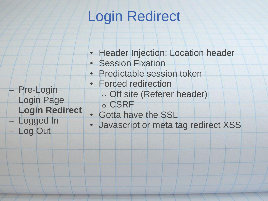## Login Redirect

- Header Injection: Location header
- Session Fixation

• Forced redirection

• Predictable session token

o Off site (Referer header)

- Pre-Login
- Login Page
- **Login Redirect**
- Logged In
	- Log Out
- o CSRF • Gotta have the SSL
- Javascript or meta tag redirect XSS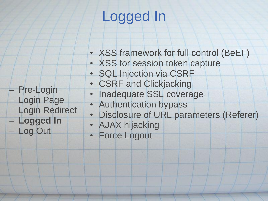## Logged In

- XSS framework for full control (BeEF)
- XSS for session token capture
- SQL Injection via CSRF
- CSRF and Clickjacking
- Inadequate SSL coverage
- Authentication bypass
- Disclosure of URL parameters (Referer)
- AJAX hijacking
- Force Logout
- Pre-Login – Login Page
- Login Redirect
- **Logged In**
- Log Out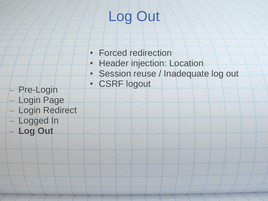# Log Out

- Forced redirection
- Header injection: Location
- Session reuse / Inadequate log out
- CSRF logout
- Pre-Login
- Login Page
- Login Redirect
- Logged In
	- **Log Out**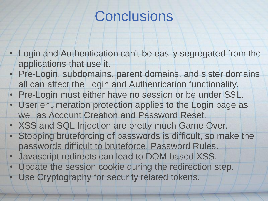## **Conclusions**

- Login and Authentication can't be easily segregated from the applications that use it.
- Pre-Login, subdomains, parent domains, and sister domains all can affect the Login and Authentication functionality.
- Pre-Login must either have no session or be under SSL.
- User enumeration protection applies to the Login page as well as Account Creation and Password Reset.
- XSS and SQL Injection are pretty much Game Over.
- Stopping bruteforcing of passwords is difficult, so make the passwords difficult to bruteforce. Password Rules.
- Javascript redirects can lead to DOM based XSS.
- Update the session cookie during the redirection step. Use Cryptography for security related tokens.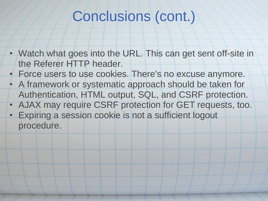### Conclusions (cont.)

- Watch what goes into the URL. This can get sent off-site in the Referer HTTP header.
- Force users to use cookies. There's no excuse anymore.
- A framework or systematic approach should be taken for Authentication, HTML output, SQL, and CSRF protection.
- AJAX may require CSRF protection for GET requests, too.
- Expiring a session cookie is not a sufficient logout procedure.